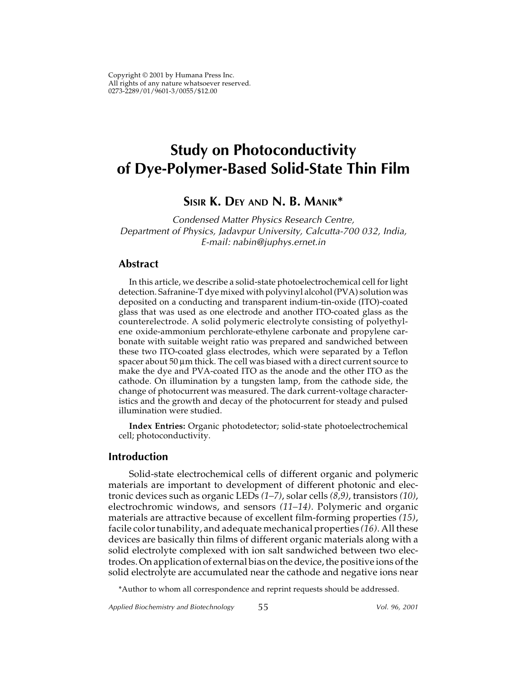# **Study on Photoconductivity of Dye-Polymer-Based Solid-State Thin Film**

# **SISIR K. DEY AND N. B. MANIK\***

Condensed Matter Physics Research Centre, Department of Physics, Jadavpur University, Calcutta-700 032, India, E-mail: nabin@juphys.ernet.in

# **Abstract**

In this article, we describe a solid-state photoelectrochemical cell for light detection. Safranine-T dye mixed with polyvinyl alcohol (PVA) solution was deposited on a conducting and transparent indium-tin-oxide (ITO)-coated glass that was used as one electrode and another ITO-coated glass as the counterelectrode. A solid polymeric electrolyte consisting of polyethylene oxide-ammonium perchlorate-ethylene carbonate and propylene carbonate with suitable weight ratio was prepared and sandwiched between these two ITO-coated glass electrodes, which were separated by a Teflon spacer about 50 µm thick. The cell was biased with a direct current source to make the dye and PVA-coated ITO as the anode and the other ITO as the cathode. On illumination by a tungsten lamp, from the cathode side, the change of photocurrent was measured. The dark current-voltage characteristics and the growth and decay of the photocurrent for steady and pulsed illumination were studied.

**Index Entries:** Organic photodetector; solid-state photoelectrochemical cell; photoconductivity.

#### **Introduction**

Solid-state electrochemical cells of different organic and polymeric materials are important to development of different photonic and electronic devices such as organic LEDs *(1–7)*, solar cells *(8,9)*, transistors *(10)*, electrochromic windows, and sensors *(11–14)*. Polymeric and organic materials are attractive because of excellent film-forming properties *(15)*, facile color tunability, and adequate mechanical properties *(16)*. All these devices are basically thin films of different organic materials along with a solid electrolyte complexed with ion salt sandwiched between two electrodes. On application of external bias on the device, the positive ions of the solid electrolyte are accumulated near the cathode and negative ions near

\*Author to whom all correspondence and reprint requests should be addressed.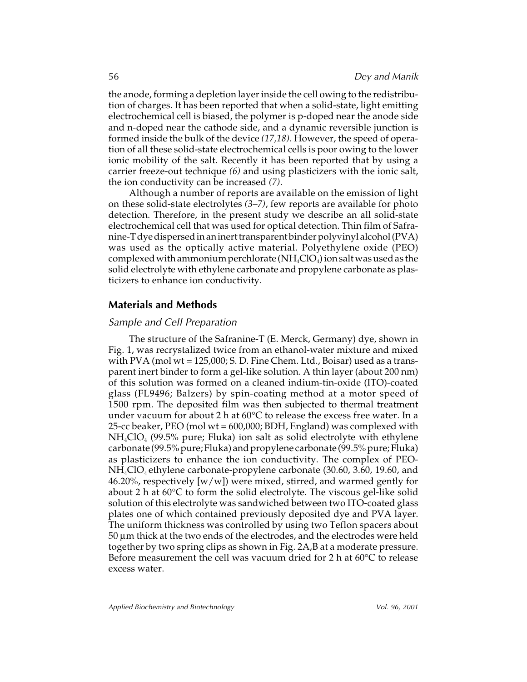the anode, forming a depletion layer inside the cell owing to the redistribution of charges. It has been reported that when a solid-state, light emitting electrochemical cell is biased, the polymer is p-doped near the anode side and n-doped near the cathode side, and a dynamic reversible junction is formed inside the bulk of the device *(17,18)*. However, the speed of operation of all these solid-state electrochemical cells is poor owing to the lower ionic mobility of the salt. Recently it has been reported that by using a carrier freeze-out technique *(6)* and using plasticizers with the ionic salt, the ion conductivity can be increased *(7)*.

Although a number of reports are available on the emission of light on these solid-state electrolytes *(3–7)*, few reports are available for photo detection. Therefore, in the present study we describe an all solid-state electrochemical cell that was used for optical detection. Thin film of Safranine-T dye dispersed in an inert transparent binder polyvinyl alcohol (PVA) was used as the optically active material. Polyethylene oxide (PEO) complexed with ammonium perchlorate  $(NH_4ClO_4)$  ion salt was used as the solid electrolyte with ethylene carbonate and propylene carbonate as plasticizers to enhance ion conductivity.

## **Materials and Methods**

#### Sample and Cell Preparation

The structure of the Safranine-T (E. Merck, Germany) dye, shown in Fig. 1, was recrystalized twice from an ethanol-water mixture and mixed with PVA (mol wt = 125,000; S. D. Fine Chem. Ltd., Boisar) used as a transparent inert binder to form a gel-like solution. A thin layer (about 200 nm) of this solution was formed on a cleaned indium-tin-oxide (ITO)-coated glass (FL9496; Balzers) by spin-coating method at a motor speed of 1500 rpm. The deposited film was then subjected to thermal treatment under vacuum for about 2 h at 60°C to release the excess free water. In a 25-cc beaker, PEO (mol wt = 600,000; BDH, England) was complexed with  $NH<sub>4</sub>ClO<sub>4</sub>$  (99.5% pure; Fluka) ion salt as solid electrolyte with ethylene carbonate (99.5% pure; Fluka) and propylene carbonate (99.5% pure; Fluka) as plasticizers to enhance the ion conductivity. The complex of PEO- $NH<sub>4</sub>ClO<sub>4</sub>$  ethylene carbonate-propylene carbonate (30.60, 3.60, 19.60, and  $46.20\%$ , respectively [w/w]) were mixed, stirred, and warmed gently for about 2 h at 60°C to form the solid electrolyte. The viscous gel-like solid solution of this electrolyte was sandwiched between two ITO-coated glass plates one of which contained previously deposited dye and PVA layer. The uniform thickness was controlled by using two Teflon spacers about 50 µm thick at the two ends of the electrodes, and the electrodes were held together by two spring clips as shown in Fig. 2A,B at a moderate pressure. Before measurement the cell was vacuum dried for 2 h at 60°C to release excess water.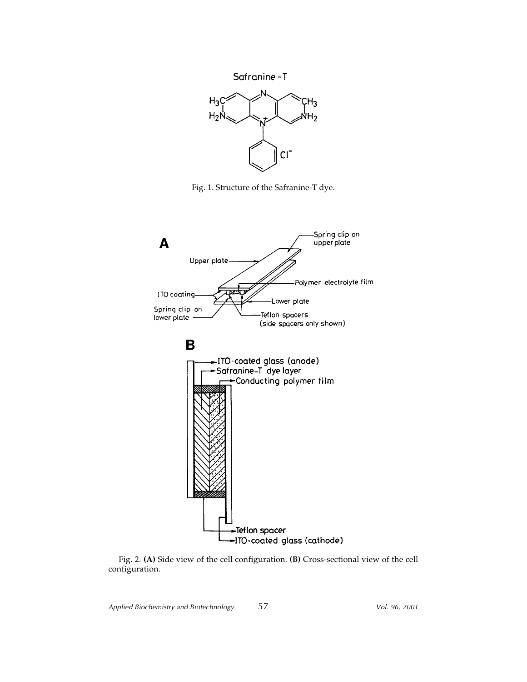



Fig. 1. Structure of the Safranine-T dye.



Fig. 2. **(A)** Side view of the cell configuration. **(B)** Cross-sectional view of the cell configuration.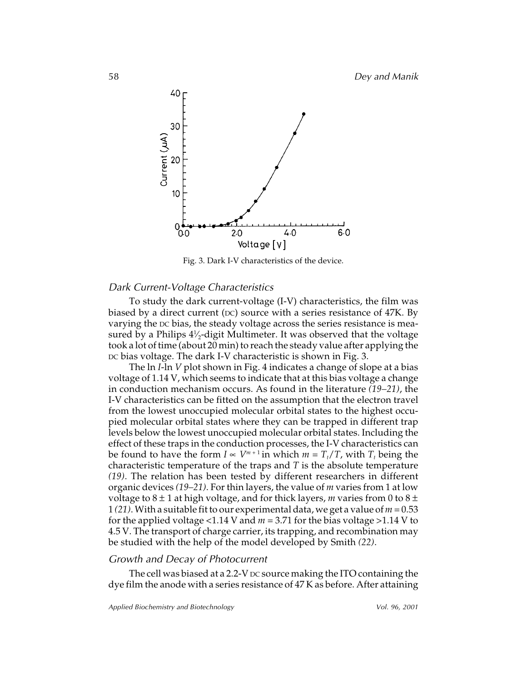

Fig. 3. Dark I-V characteristics of the device.

#### Dark Current-Voltage Characteristics

To study the dark current-voltage (I-V) characteristics, the film was biased by a direct current (DC) source with a series resistance of 47K. By varying the DC bias, the steady voltage across the series resistance is measured by a Philips  $4\frac{1}{2}$ -digit Multimeter. It was observed that the voltage ⁄ took a lot of time (about 20 min) to reach the steady value after applying the DC bias voltage. The dark I-V characteristic is shown in Fig. 3.

The ln *I*-ln *V* plot shown in Fig. 4 indicates a change of slope at a bias voltage of 1.14 V, which seems to indicate that at this bias voltage a change in conduction mechanism occurs. As found in the literature *(19–21)*, the I-V characteristics can be fitted on the assumption that the electron travel from the lowest unoccupied molecular orbital states to the highest occupied molecular orbital states where they can be trapped in different trap levels below the lowest unoccupied molecular orbital states. Including the effect of these traps in the conduction processes, the I-V characteristics can be found to have the form  $I \propto V^{m+1}$  in which  $m = T_t/T$ , with  $T_t$  being the characteristic temperature of the traps and *T* is the absolute temperature *(19)*. The relation has been tested by different researchers in different organic devices *(19–21)*. For thin layers, the value of *m* varies from 1 at low voltage to  $8 \pm 1$  at high voltage, and for thick layers, *m* varies from 0 to  $8 \pm 1$ 1 (21). With a suitable fit to our experimental data, we get a value of  $m = 0.53$ for the applied voltage  $\langle 1.14 \text{ V}$  and  $m = 3.71$  for the bias voltage  $>1.14 \text{ V}$  to 4.5 V. The transport of charge carrier, its trapping, and recombination may be studied with the help of the model developed by Smith *(22)*.

#### Growth and Decay of Photocurrent

The cell was biased at a 2.2-V DC source making the ITO containing the dye film the anode with a series resistance of 47 K as before. After attaining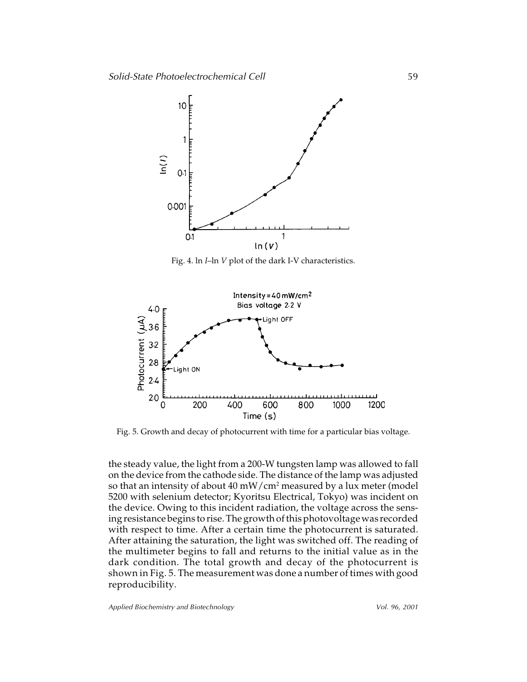

Fig. 4. ln *I*–ln *V* plot of the dark I-V characteristics.



Fig. 5. Growth and decay of photocurrent with time for a particular bias voltage.

the steady value, the light from a 200-W tungsten lamp was allowed to fall on the device from the cathode side. The distance of the lamp was adjusted so that an intensity of about 40 mW/cm2 measured by a lux meter (model 5200 with selenium detector; Kyoritsu Electrical, Tokyo) was incident on the device. Owing to this incident radiation, the voltage across the sensing resistance begins to rise. The growth of this photovoltage was recorded with respect to time. After a certain time the photocurrent is saturated. After attaining the saturation, the light was switched off. The reading of the multimeter begins to fall and returns to the initial value as in the dark condition. The total growth and decay of the photocurrent is shown in Fig. 5. The measurement was done a number of times with good reproducibility.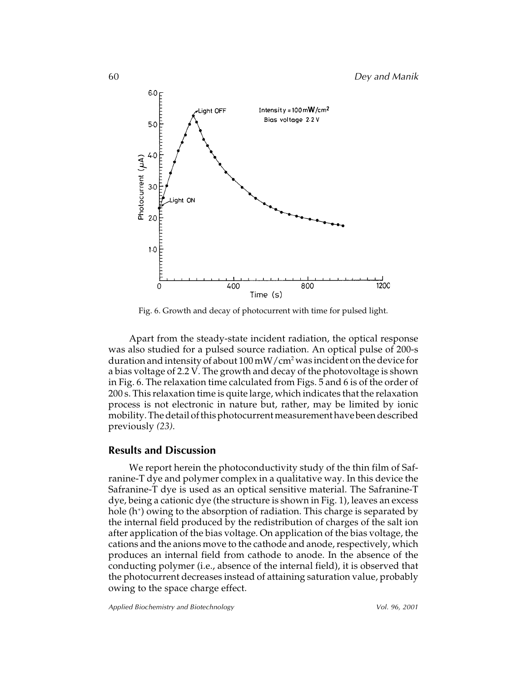

Fig. 6. Growth and decay of photocurrent with time for pulsed light.

Apart from the steady-state incident radiation, the optical response was also studied for a pulsed source radiation. An optical pulse of 200-s duration and intensity of about  $100 \,\mathrm{mW/cm^2}$  was incident on the device for a bias voltage of 2.2 V. The growth and decay of the photovoltage is shown in Fig. 6. The relaxation time calculated from Figs. 5 and 6 is of the order of 200 s. This relaxation time is quite large, which indicates that the relaxation process is not electronic in nature but, rather, may be limited by ionic mobility. The detail of this photocurrent measurement have been described previously *(23)*.

### **Results and Discussion**

We report herein the photoconductivity study of the thin film of Safranine-T dye and polymer complex in a qualitative way. In this device the Safranine-T dye is used as an optical sensitive material. The Safranine-T dye, being a cationic dye (the structure is shown in Fig. 1), leaves an excess hole  $(h<sup>+</sup>)$  owing to the absorption of radiation. This charge is separated by the internal field produced by the redistribution of charges of the salt ion after application of the bias voltage. On application of the bias voltage, the cations and the anions move to the cathode and anode, respectively, which produces an internal field from cathode to anode. In the absence of the conducting polymer (i.e., absence of the internal field), it is observed that the photocurrent decreases instead of attaining saturation value, probably owing to the space charge effect.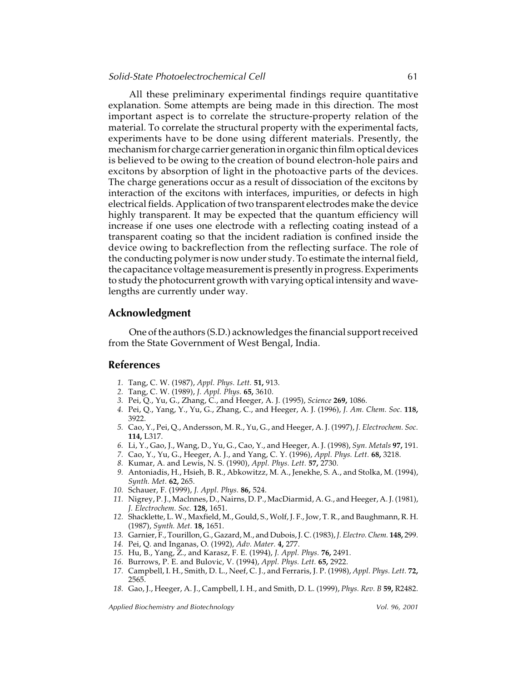All these preliminary experimental findings require quantitative explanation. Some attempts are being made in this direction. The most important aspect is to correlate the structure-property relation of the material. To correlate the structural property with the experimental facts, experiments have to be done using different materials. Presently, the mechanism for charge carrier generation in organic thin film optical devices is believed to be owing to the creation of bound electron-hole pairs and excitons by absorption of light in the photoactive parts of the devices. The charge generations occur as a result of dissociation of the excitons by interaction of the excitons with interfaces, impurities, or defects in high electrical fields. Application of two transparent electrodes make the device highly transparent. It may be expected that the quantum efficiency will increase if one uses one electrode with a reflecting coating instead of a transparent coating so that the incident radiation is confined inside the device owing to backreflection from the reflecting surface. The role of the conducting polymer is now under study. To estimate the internal field, the capacitance voltage measurement is presently in progress. Experiments to study the photocurrent growth with varying optical intensity and wavelengths are currently under way.

# **Acknowledgment**

One of the authors (S.D.) acknowledges the financial support received from the State Government of West Bengal, India.

#### **References**

- *1.* Tang, C. W. (1987), *Appl. Phys. Lett.* **51,** 913.
- *2.* Tang, C. W. (1989), *J. Appl. Phys.* **65,** 3610.
- *3.* Pei, Q., Yu, G., Zhang, C., and Heeger, A. J. (1995), *Science* **269,** 1086.
- *4.* Pei, Q., Yang, Y., Yu, G., Zhang, C., and Heeger, A. J. (1996), *J. Am. Chem. Soc.* **118,** 3922.
- *5.* Cao, Y., Pei, Q., Andersson, M. R., Yu, G., and Heeger, A. J. (1997), *J. Electrochem. Soc.* **114,** L317.
- *6.* Li, Y., Gao, J., Wang, D., Yu, G., Cao, Y., and Heeger, A. J. (1998), *Syn. Metals* **97,** 191.
- *7.* Cao, Y., Yu, G., Heeger, A. J., and Yang, C. Y. (1996), *Appl. Phys. Lett.* **68,** 3218.
- *8.* Kumar, A. and Lewis, N. S. (1990), *Appl. Phys. Lett.* **57,** 2730.
- *9.* Antoniadis, H., Hsieh, B. R., Abkowitzz, M. A., Jenekhe, S. A., and Stolka, M. (1994), *Synth. Met.* **62,** 265.
- *10.* Schauer, F. (1999), *J. Appl. Phys.* **86,** 524.
- *11.* Nigrey, P. J., Maclnnes, D., Nairns, D. P., MacDiarmid, A. G., and Heeger, A. J. (1981), *J. Electrochem. Soc.* **128,** 1651.
- *12.* Shacklette, L. W., Maxfield, M., Gould, S., Wolf, J. F., Jow, T. R., and Baughmann, R. H. (1987), *Synth. Met.* **18,** 1651.
- *13.* Garnier, F., Tourillon, G., Gazard, M., and Dubois, J. C. (1983), *J. Electro. Chem.* **148,** 299.
- *14.* Pei, Q. and Inganas, O. (1992), *Adv. Mater.* **4,** 277.
- *15.* Hu, B., Yang, Z., and Karasz, F. E. (1994), *J. Appl. Phys.* **76,** 2491.
- *16.* Burrows, P. E. and Bulovic, V. (1994), *Appl. Phys. Lett.* **65,** 2922.
- *17.* Campbell, I. H., Smith, D. L., Neef, C. J., and Ferraris, J. P. (1998), *Appl. Phys. Lett.* **72,** 2565.
- *18.* Gao, J., Heeger, A. J., Campbell, I. H., and Smith, D. L. (1999), *Phys. Rev. B* **59,** R2482.